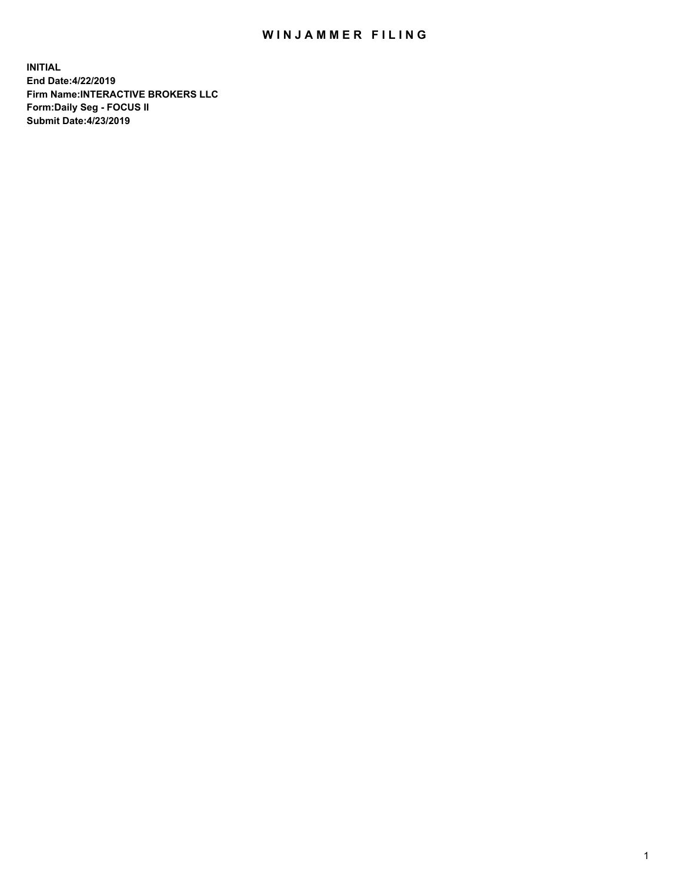## WIN JAMMER FILING

**INITIAL End Date:4/22/2019 Firm Name:INTERACTIVE BROKERS LLC Form:Daily Seg - FOCUS II Submit Date:4/23/2019**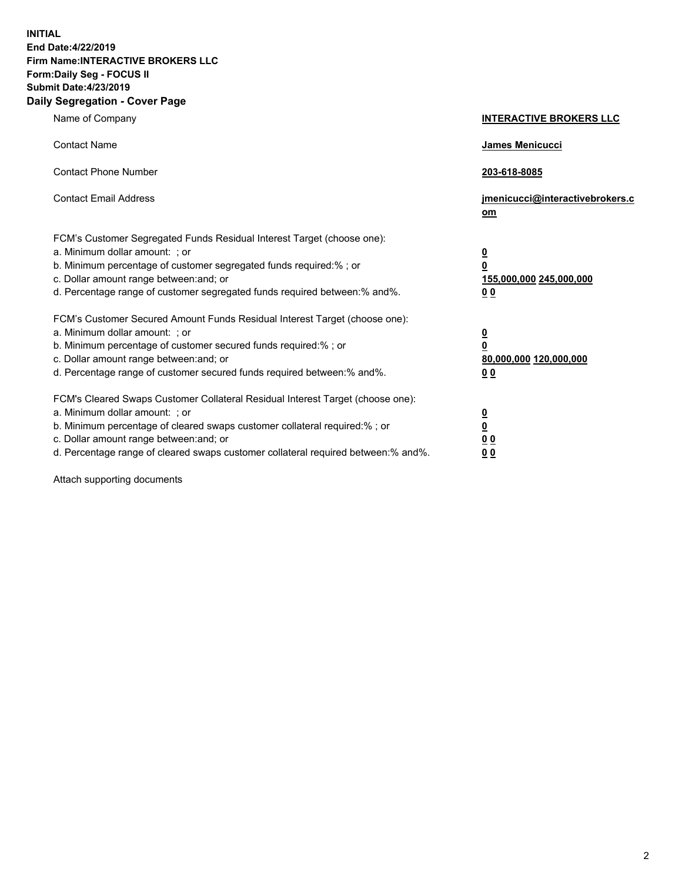**INITIAL End Date:4/22/2019 Firm Name:INTERACTIVE BROKERS LLC Form:Daily Seg - FOCUS II Submit Date:4/23/2019 Daily Segregation - Cover Page**

| Name of Company                                                                                                                                                                                                                                                                                                                | <b>INTERACTIVE BROKERS LLC</b>                                                                  |
|--------------------------------------------------------------------------------------------------------------------------------------------------------------------------------------------------------------------------------------------------------------------------------------------------------------------------------|-------------------------------------------------------------------------------------------------|
| <b>Contact Name</b>                                                                                                                                                                                                                                                                                                            | James Menicucci                                                                                 |
| <b>Contact Phone Number</b>                                                                                                                                                                                                                                                                                                    | 203-618-8085                                                                                    |
| <b>Contact Email Address</b>                                                                                                                                                                                                                                                                                                   | jmenicucci@interactivebrokers.c<br>om                                                           |
| FCM's Customer Segregated Funds Residual Interest Target (choose one):<br>a. Minimum dollar amount: ; or<br>b. Minimum percentage of customer segregated funds required:% ; or<br>c. Dollar amount range between: and; or<br>d. Percentage range of customer segregated funds required between:% and%.                         | $\overline{\mathbf{0}}$<br>$\overline{\mathbf{0}}$<br>155,000,000 245,000,000<br>0 <sub>0</sub> |
| FCM's Customer Secured Amount Funds Residual Interest Target (choose one):<br>a. Minimum dollar amount: ; or<br>b. Minimum percentage of customer secured funds required:% ; or<br>c. Dollar amount range between: and; or<br>d. Percentage range of customer secured funds required between:% and%.                           | $\overline{\mathbf{0}}$<br>0<br>80,000,000 120,000,000<br>0 <sub>0</sub>                        |
| FCM's Cleared Swaps Customer Collateral Residual Interest Target (choose one):<br>a. Minimum dollar amount: ; or<br>b. Minimum percentage of cleared swaps customer collateral required:% ; or<br>c. Dollar amount range between: and; or<br>d. Percentage range of cleared swaps customer collateral required between:% and%. | $\overline{\mathbf{0}}$<br><u>0</u><br>$\underline{0}$ $\underline{0}$<br>00                    |

Attach supporting documents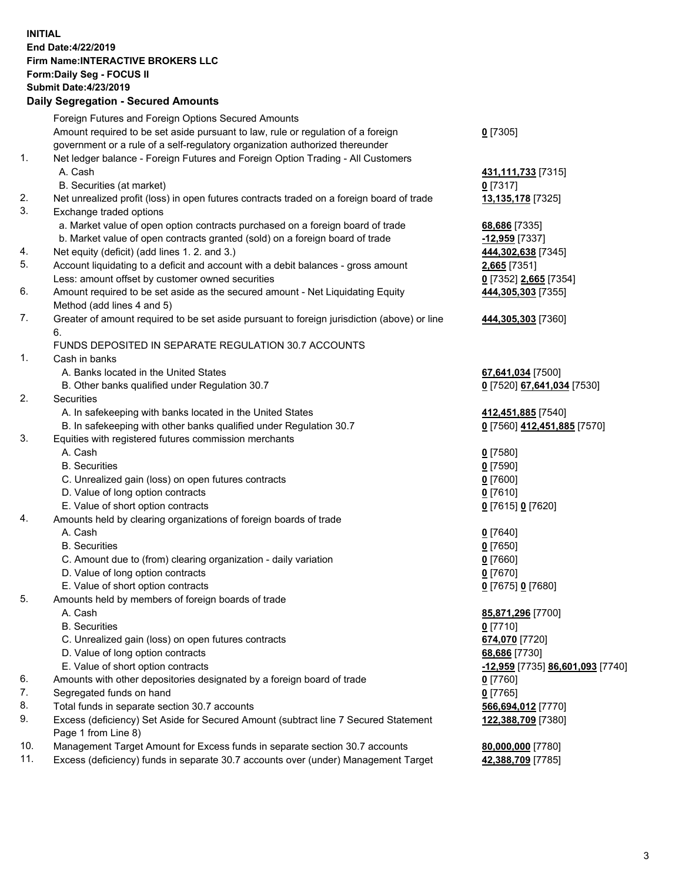## **INITIAL End Date:4/22/2019 Firm Name:INTERACTIVE BROKERS LLC Form:Daily Seg - FOCUS II Submit Date:4/23/2019 Daily Segregation - Secured Amounts**

|                | Dany Segregation - Secured Announts                                                         |                                                   |
|----------------|---------------------------------------------------------------------------------------------|---------------------------------------------------|
|                | Foreign Futures and Foreign Options Secured Amounts                                         |                                                   |
|                | Amount required to be set aside pursuant to law, rule or regulation of a foreign            | $0$ [7305]                                        |
|                | government or a rule of a self-regulatory organization authorized thereunder                |                                                   |
| $\mathbf{1}$ . | Net ledger balance - Foreign Futures and Foreign Option Trading - All Customers             |                                                   |
|                | A. Cash                                                                                     | 431, 111, 733 [7315]                              |
|                | B. Securities (at market)                                                                   | $0$ [7317]                                        |
| 2.             | Net unrealized profit (loss) in open futures contracts traded on a foreign board of trade   | 13,135,178 [7325]                                 |
| 3.             | Exchange traded options                                                                     |                                                   |
|                | a. Market value of open option contracts purchased on a foreign board of trade              | 68,686 [7335]                                     |
|                | b. Market value of open contracts granted (sold) on a foreign board of trade                | -12,959 [7337]                                    |
| 4.             | Net equity (deficit) (add lines 1. 2. and 3.)                                               | 444,302,638 [7345]                                |
| 5.             | Account liquidating to a deficit and account with a debit balances - gross amount           | 2,665 [7351]                                      |
|                | Less: amount offset by customer owned securities                                            | 0 [7352] 2,665 [7354]                             |
| 6.             | Amount required to be set aside as the secured amount - Net Liquidating Equity              | 444,305,303 [7355]                                |
|                | Method (add lines 4 and 5)                                                                  |                                                   |
| 7.             | Greater of amount required to be set aside pursuant to foreign jurisdiction (above) or line | 444,305,303 [7360]                                |
|                | 6.                                                                                          |                                                   |
|                | FUNDS DEPOSITED IN SEPARATE REGULATION 30.7 ACCOUNTS                                        |                                                   |
| 1.             | Cash in banks                                                                               |                                                   |
|                | A. Banks located in the United States                                                       | 67,641,034 [7500]                                 |
| 2.             | B. Other banks qualified under Regulation 30.7<br><b>Securities</b>                         | 0 [7520] 67,641,034 [7530]                        |
|                | A. In safekeeping with banks located in the United States                                   |                                                   |
|                | B. In safekeeping with other banks qualified under Regulation 30.7                          | 412,451,885 [7540]<br>0 [7560] 412,451,885 [7570] |
| 3.             | Equities with registered futures commission merchants                                       |                                                   |
|                | A. Cash                                                                                     | $0$ [7580]                                        |
|                | <b>B.</b> Securities                                                                        | $0$ [7590]                                        |
|                | C. Unrealized gain (loss) on open futures contracts                                         | $0$ [7600]                                        |
|                | D. Value of long option contracts                                                           | $0$ [7610]                                        |
|                | E. Value of short option contracts                                                          | 0 [7615] 0 [7620]                                 |
| 4.             | Amounts held by clearing organizations of foreign boards of trade                           |                                                   |
|                | A. Cash                                                                                     | $0$ [7640]                                        |
|                | <b>B.</b> Securities                                                                        | $0$ [7650]                                        |
|                | C. Amount due to (from) clearing organization - daily variation                             | $0$ [7660]                                        |
|                | D. Value of long option contracts                                                           | $0$ [7670]                                        |
|                | E. Value of short option contracts                                                          | 0 [7675] 0 [7680]                                 |
| 5.             | Amounts held by members of foreign boards of trade                                          |                                                   |
|                | A. Cash                                                                                     | 85,871,296 [7700]                                 |
|                | <b>B.</b> Securities                                                                        | $0$ [7710]                                        |
|                | C. Unrealized gain (loss) on open futures contracts                                         | 674,070 [7720]                                    |
|                | D. Value of long option contracts                                                           | 68,686 [7730]                                     |
|                | E. Value of short option contracts                                                          | <u>-12,959</u> [7735] <u>86,601,093</u> [7740]    |
| 6.             | Amounts with other depositories designated by a foreign board of trade                      | 0 [7760]                                          |
| 7.             | Segregated funds on hand                                                                    | $0$ [7765]                                        |
| 8.             | Total funds in separate section 30.7 accounts                                               | 566,694,012 [7770]                                |
| 9.             | Excess (deficiency) Set Aside for Secured Amount (subtract line 7 Secured Statement         | 122,388,709 [7380]                                |
|                | Page 1 from Line 8)                                                                         |                                                   |
| 10.            | Management Target Amount for Excess funds in separate section 30.7 accounts                 | 80,000,000 [7780]                                 |
| 11.            | Excess (deficiency) funds in separate 30.7 accounts over (under) Management Target          | 42,388,709 [7785]                                 |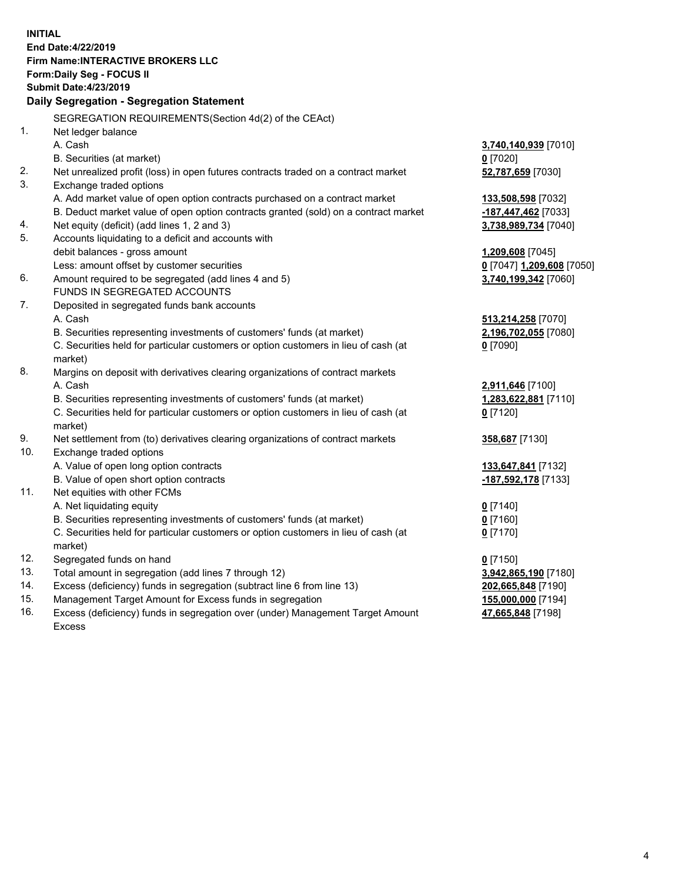**INITIAL End Date:4/22/2019 Firm Name:INTERACTIVE BROKERS LLC Form:Daily Seg - FOCUS II Submit Date:4/23/2019 Daily Segregation - Segregation Statement** SEGREGATION REQUIREMENTS(Section 4d(2) of the CEAct) 1. Net ledger balance A. Cash **3,740,140,939** [7010] B. Securities (at market) **0** [7020] 2. Net unrealized profit (loss) in open futures contracts traded on a contract market **52,787,659** [7030] 3. Exchange traded options A. Add market value of open option contracts purchased on a contract market **133,508,598** [7032] B. Deduct market value of open option contracts granted (sold) on a contract market **-187,447,462** [7033] 4. Net equity (deficit) (add lines 1, 2 and 3) **3,738,989,734** [7040] 5. Accounts liquidating to a deficit and accounts with debit balances - gross amount **1,209,608** [7045] Less: amount offset by customer securities **0** [7047] **1,209,608** [7050] 6. Amount required to be segregated (add lines 4 and 5) **3,740,199,342** [7060] FUNDS IN SEGREGATED ACCOUNTS 7. Deposited in segregated funds bank accounts A. Cash **513,214,258** [7070] B. Securities representing investments of customers' funds (at market) **2,196,702,055** [7080] C. Securities held for particular customers or option customers in lieu of cash (at market) **0** [7090] 8. Margins on deposit with derivatives clearing organizations of contract markets A. Cash **2,911,646** [7100] B. Securities representing investments of customers' funds (at market) **1,283,622,881** [7110] C. Securities held for particular customers or option customers in lieu of cash (at market) **0** [7120] 9. Net settlement from (to) derivatives clearing organizations of contract markets **358,687** [7130] 10. Exchange traded options A. Value of open long option contracts **133,647,841** [7132] B. Value of open short option contracts **-187,592,178** [7133] 11. Net equities with other FCMs A. Net liquidating equity **0** [7140] B. Securities representing investments of customers' funds (at market) **0** [7160] C. Securities held for particular customers or option customers in lieu of cash (at market) **0** [7170] 12. Segregated funds on hand **0** [7150] 13. Total amount in segregation (add lines 7 through 12) **3,942,865,190** [7180] 14. Excess (deficiency) funds in segregation (subtract line 6 from line 13) **202,665,848** [7190] 15. Management Target Amount for Excess funds in segregation **155,000,000** [7194]

16. Excess (deficiency) funds in segregation over (under) Management Target Amount Excess

**47,665,848** [7198]